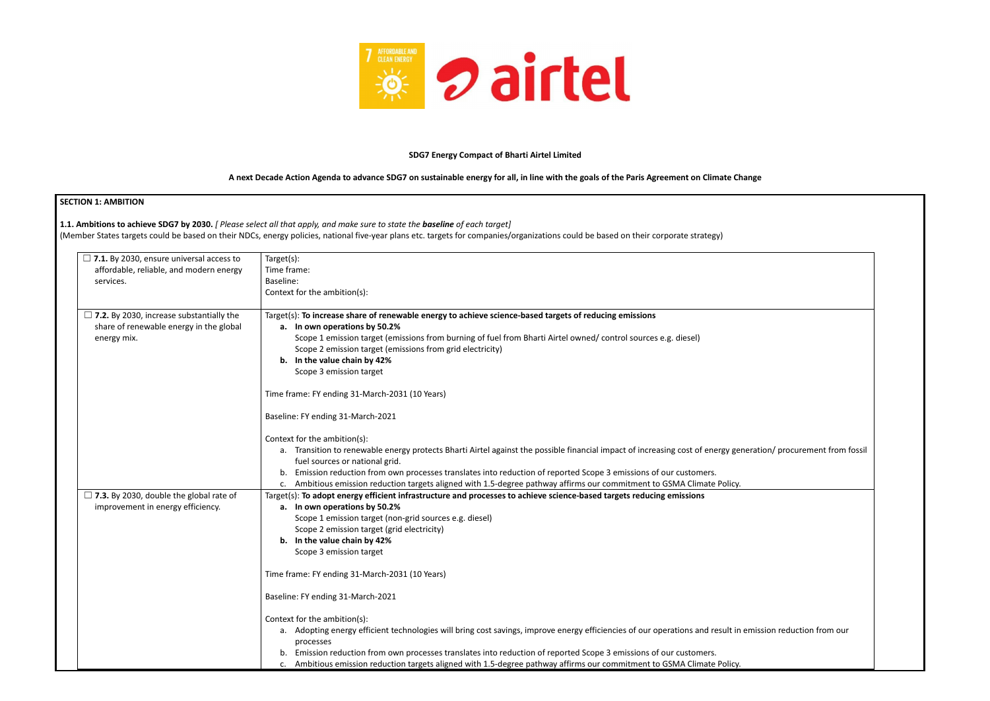

#### **SDG7 Energy Compact of Bharti Airtel Limited**

#### A next Decade Action Agenda to advance SDG7 on sustainable energy for all, in line with the goals of the Paris Agreement on Climate Change

| <b>SECTION 1: AMBITION</b>                                                                                                                                      |                                                                                                                                                                                     |  |  |  |  |  |  |
|-----------------------------------------------------------------------------------------------------------------------------------------------------------------|-------------------------------------------------------------------------------------------------------------------------------------------------------------------------------------|--|--|--|--|--|--|
|                                                                                                                                                                 | 1.1. Ambitions to achieve SDG7 by 2030. [ Please select all that apply, and make sure to state the baseline of each target]                                                         |  |  |  |  |  |  |
|                                                                                                                                                                 | (Member States targets could be based on their NDCs, energy policies, national five-year plans etc. targets for companies/organizations could be based on their corporate strategy) |  |  |  |  |  |  |
|                                                                                                                                                                 |                                                                                                                                                                                     |  |  |  |  |  |  |
| $\Box$ 7.1. By 2030, ensure universal access to<br>Target(s):                                                                                                   |                                                                                                                                                                                     |  |  |  |  |  |  |
| affordable, reliable, and modern energy<br>Time frame:                                                                                                          |                                                                                                                                                                                     |  |  |  |  |  |  |
| Baseline:<br>services.                                                                                                                                          |                                                                                                                                                                                     |  |  |  |  |  |  |
|                                                                                                                                                                 | Context for the ambition(s):                                                                                                                                                        |  |  |  |  |  |  |
| $\Box$ 7.2. By 2030, increase substantially the                                                                                                                 | Target(s): To increase share of renewable energy to achieve science-based targets of reducing emissions                                                                             |  |  |  |  |  |  |
| share of renewable energy in the global                                                                                                                         | a. In own operations by 50.2%                                                                                                                                                       |  |  |  |  |  |  |
| energy mix.                                                                                                                                                     | Scope 1 emission target (emissions from burning of fuel from Bharti Airtel owned/ control sources e.g. diesel)                                                                      |  |  |  |  |  |  |
|                                                                                                                                                                 | Scope 2 emission target (emissions from grid electricity)                                                                                                                           |  |  |  |  |  |  |
|                                                                                                                                                                 | b. In the value chain by 42%                                                                                                                                                        |  |  |  |  |  |  |
|                                                                                                                                                                 | Scope 3 emission target                                                                                                                                                             |  |  |  |  |  |  |
|                                                                                                                                                                 | Time frame: FY ending 31-March-2031 (10 Years)                                                                                                                                      |  |  |  |  |  |  |
|                                                                                                                                                                 | Baseline: FY ending 31-March-2021                                                                                                                                                   |  |  |  |  |  |  |
|                                                                                                                                                                 | Context for the ambition(s):                                                                                                                                                        |  |  |  |  |  |  |
| a. Transition to renewable energy protects Bharti Airtel against the possible financial impact of increasing cost of energy generation/ procurement from fossil |                                                                                                                                                                                     |  |  |  |  |  |  |
| fuel sources or national grid.                                                                                                                                  |                                                                                                                                                                                     |  |  |  |  |  |  |
|                                                                                                                                                                 | Emission reduction from own processes translates into reduction of reported Scope 3 emissions of our customers.<br>b.                                                               |  |  |  |  |  |  |
|                                                                                                                                                                 | Ambitious emission reduction targets aligned with 1.5-degree pathway affirms our commitment to GSMA Climate Policy.                                                                 |  |  |  |  |  |  |
| $\Box$ 7.3. By 2030, double the global rate of                                                                                                                  | Target(s): To adopt energy efficient infrastructure and processes to achieve science-based targets reducing emissions                                                               |  |  |  |  |  |  |
| improvement in energy efficiency.                                                                                                                               | a. In own operations by 50.2%                                                                                                                                                       |  |  |  |  |  |  |
|                                                                                                                                                                 | Scope 1 emission target (non-grid sources e.g. diesel)                                                                                                                              |  |  |  |  |  |  |
|                                                                                                                                                                 | Scope 2 emission target (grid electricity)<br>b. In the value chain by 42%                                                                                                          |  |  |  |  |  |  |
|                                                                                                                                                                 | Scope 3 emission target                                                                                                                                                             |  |  |  |  |  |  |
|                                                                                                                                                                 |                                                                                                                                                                                     |  |  |  |  |  |  |
|                                                                                                                                                                 | Time frame: FY ending 31-March-2031 (10 Years)                                                                                                                                      |  |  |  |  |  |  |
|                                                                                                                                                                 | Baseline: FY ending 31-March-2021                                                                                                                                                   |  |  |  |  |  |  |
|                                                                                                                                                                 | Context for the ambition(s):                                                                                                                                                        |  |  |  |  |  |  |
|                                                                                                                                                                 | a. Adopting energy efficient technologies will bring cost savings, improve energy efficiencies of our operations and result in emission reduction from our<br>processes             |  |  |  |  |  |  |
|                                                                                                                                                                 | Emission reduction from own processes translates into reduction of reported Scope 3 emissions of our customers.<br>b.                                                               |  |  |  |  |  |  |
|                                                                                                                                                                 | Ambitious emission reduction targets aligned with 1.5-degree pathway affirms our commitment to GSMA Climate Policy.                                                                 |  |  |  |  |  |  |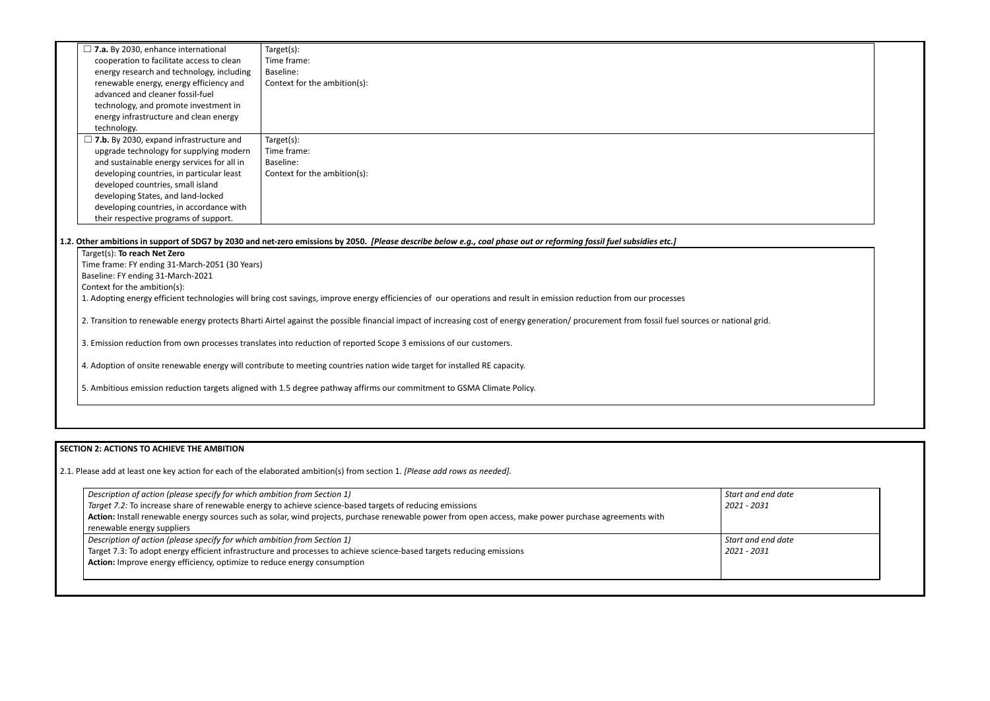| $\Box$ 7.a. By 2030, enhance international                                                                                                                                                     | Target(s):                                                                                                                                                           |  |  |  |  |
|------------------------------------------------------------------------------------------------------------------------------------------------------------------------------------------------|----------------------------------------------------------------------------------------------------------------------------------------------------------------------|--|--|--|--|
| cooperation to facilitate access to clean                                                                                                                                                      | Time frame:                                                                                                                                                          |  |  |  |  |
| energy research and technology, including                                                                                                                                                      | Baseline:                                                                                                                                                            |  |  |  |  |
| renewable energy, energy efficiency and                                                                                                                                                        | Context for the ambition(s):                                                                                                                                         |  |  |  |  |
| advanced and cleaner fossil-fuel                                                                                                                                                               |                                                                                                                                                                      |  |  |  |  |
| technology, and promote investment in                                                                                                                                                          |                                                                                                                                                                      |  |  |  |  |
| energy infrastructure and clean energy                                                                                                                                                         |                                                                                                                                                                      |  |  |  |  |
| technology.                                                                                                                                                                                    |                                                                                                                                                                      |  |  |  |  |
| $\Box$ 7.b. By 2030, expand infrastructure and                                                                                                                                                 | Target(s):                                                                                                                                                           |  |  |  |  |
| upgrade technology for supplying modern                                                                                                                                                        | Time frame:                                                                                                                                                          |  |  |  |  |
| and sustainable energy services for all in                                                                                                                                                     | Baseline:                                                                                                                                                            |  |  |  |  |
| developing countries, in particular least                                                                                                                                                      | Context for the ambition(s):                                                                                                                                         |  |  |  |  |
| developed countries, small island                                                                                                                                                              |                                                                                                                                                                      |  |  |  |  |
| developing States, and land-locked                                                                                                                                                             |                                                                                                                                                                      |  |  |  |  |
| developing countries, in accordance with                                                                                                                                                       |                                                                                                                                                                      |  |  |  |  |
| their respective programs of support.                                                                                                                                                          |                                                                                                                                                                      |  |  |  |  |
|                                                                                                                                                                                                |                                                                                                                                                                      |  |  |  |  |
|                                                                                                                                                                                                | 1.2. Other ambitions in support of SDG7 by 2030 and net-zero emissions by 2050. [Please describe below e.g., coal phase out or reforming fossil fuel subsidies etc.] |  |  |  |  |
| Target(s): To reach Net Zero                                                                                                                                                                   |                                                                                                                                                                      |  |  |  |  |
| Time frame: FY ending 31-March-2051 (30 Years)                                                                                                                                                 |                                                                                                                                                                      |  |  |  |  |
| Baseline: FY ending 31-March-2021                                                                                                                                                              |                                                                                                                                                                      |  |  |  |  |
| Context for the ambition(s):                                                                                                                                                                   |                                                                                                                                                                      |  |  |  |  |
| 1. Adopting energy efficient technologies will bring cost savings, improve energy efficiencies of our operations and result in emission reduction from our processes                           |                                                                                                                                                                      |  |  |  |  |
|                                                                                                                                                                                                |                                                                                                                                                                      |  |  |  |  |
| 2. Transition to renewable energy protects Bharti Airtel against the possible financial impact of increasing cost of energy generation/ procurement from fossil fuel sources or national grid. |                                                                                                                                                                      |  |  |  |  |
|                                                                                                                                                                                                |                                                                                                                                                                      |  |  |  |  |
| 3. Emission reduction from own processes translates into reduction of reported Scope 3 emissions of our customers.                                                                             |                                                                                                                                                                      |  |  |  |  |
|                                                                                                                                                                                                |                                                                                                                                                                      |  |  |  |  |
| 4. Adoption of onsite renewable energy will contribute to meeting countries nation wide target for installed RE capacity.                                                                      |                                                                                                                                                                      |  |  |  |  |
|                                                                                                                                                                                                |                                                                                                                                                                      |  |  |  |  |
| 5. Ambitious emission reduction targets aligned with 1.5 degree pathway affirms our commitment to GSMA Climate Policy.                                                                         |                                                                                                                                                                      |  |  |  |  |
|                                                                                                                                                                                                |                                                                                                                                                                      |  |  |  |  |

# **SECTION 2: ACTIONS TO ACHIEVE THE AMBITION**

2.1. Please add at least one key action for each of the elaborated ambition(s) from section 1. *[Please add rows as needed].*

| Description of action (please specify for which ambition from Section 1)                                                                              | Start and en |
|-------------------------------------------------------------------------------------------------------------------------------------------------------|--------------|
| Target 7.2: To increase share of renewable energy to achieve science-based targets of reducing emissions                                              | 2021 - 2031  |
| Action: Install renewable energy sources such as solar, wind projects, purchase renewable power from open access, make power purchase agreements with |              |
| renewable energy suppliers                                                                                                                            |              |
| Description of action (please specify for which ambition from Section 1)                                                                              | Start and en |
| Target 7.3: To adopt energy efficient infrastructure and processes to achieve science-based targets reducing emissions                                | 2021 - 2031  |
| Action: Improve energy efficiency, optimize to reduce energy consumption                                                                              |              |
|                                                                                                                                                       |              |

| ational grid.                     |  |
|-----------------------------------|--|
|                                   |  |
|                                   |  |
|                                   |  |
|                                   |  |
| Start and end date<br>2021 - 2031 |  |
| Start and end date<br>2021 - 2031 |  |
|                                   |  |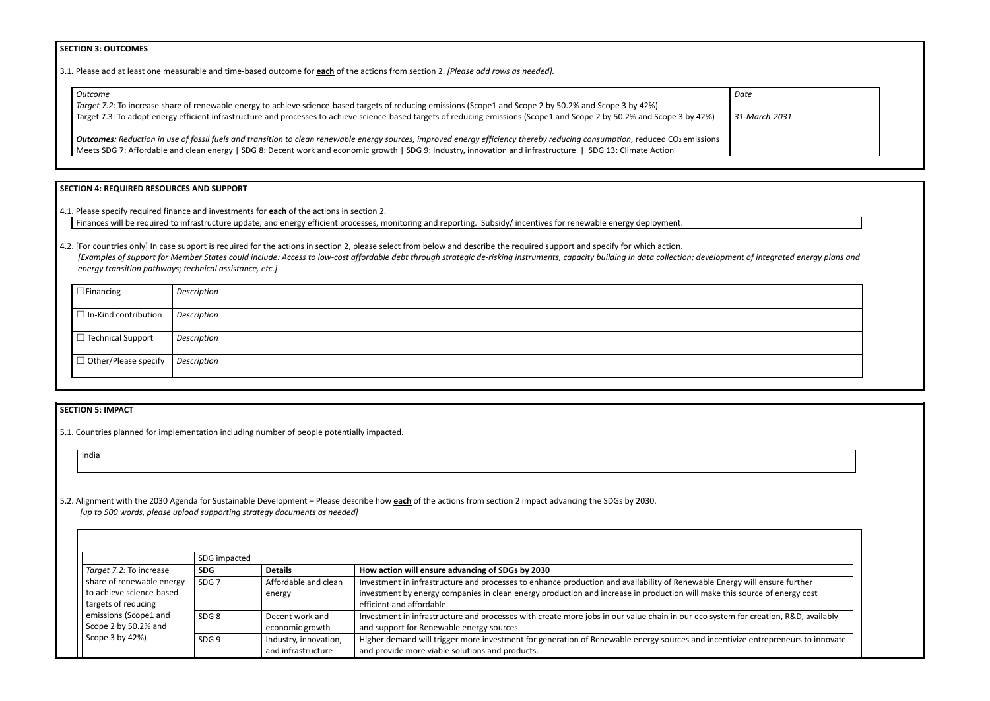## **SECTION 3: OUTCOMES**

3.1*.* Please add at least one measurable and time-based outcome for **each** of the actions from section 2. *[Please add rows as needed].*

| Outcome                                                                                                                                                                                        | Date   |
|------------------------------------------------------------------------------------------------------------------------------------------------------------------------------------------------|--------|
| Target 7.2: To increase share of renewable energy to achieve science-based targets of reducing emissions (Scope1 and Scope 2 by 50.2% and Scope 3 by 42%)                                      |        |
| Target 7.3: To adopt energy efficient infrastructure and processes to achieve science-based targets of reducing emissions (Scope1 and Scope 2 by 50.2% and Scope 3 by 42%)                     | $31-N$ |
| <b>Outcomes:</b> Reduction in use of fossil fuels and transition to clean renewable energy sources, improved energy efficiency thereby reducing consumption, reduced CO <sub>2</sub> emissions |        |
| Meets SDG 7: Affordable and clean energy   SDG 8: Decent work and economic growth   SDG 9: Industry, innovation and infrastructure<br>SDG 13: Climate Action                                   |        |

| Date                                              |
|---------------------------------------------------|
| 31-March-2031                                     |
|                                                   |
|                                                   |
|                                                   |
|                                                   |
|                                                   |
|                                                   |
|                                                   |
| ent of integrated energy plans and                |
|                                                   |
|                                                   |
|                                                   |
|                                                   |
|                                                   |
|                                                   |
|                                                   |
|                                                   |
|                                                   |
|                                                   |
|                                                   |
|                                                   |
|                                                   |
|                                                   |
|                                                   |
|                                                   |
|                                                   |
| gy will ensure further<br>s source of energy cost |
|                                                   |
| for creation, R&D, availably                      |
| vize entrepreneurs to innovate                    |
|                                                   |

# **SECTION 4: REQUIRED RESOURCES AND SUPPORT**

4.1. Please specify required finance and investments for **each** of the actions in section 2.

Finances will be required to infrastructure update, and energy efficient processes, monitoring and reporting. Subsidy/ incentives for renewable energy deployment.

4.2. [For countries only] In case support is required for the actions in section 2, please select from below and describe the required support and specify for which action. [Examples of support for Member States could include: Access to low-cost affordable debt through strategic de-risking instruments, capacity building in data collection; development *energy transition pathways; technical assistance, etc.]*

| $\Box$ Financing                          | Description |
|-------------------------------------------|-------------|
| $\Box$ In-Kind contribution               | Description |
| $\Box$ Technical Support                  | Description |
| $\Box$ Other/Please specify   Description |             |
|                                           |             |

# **SECTION 5: IMPACT**

5.1. Countries planned for implementation including number of people potentially impacted.

India

5.2. Alignment with the 2030 Agenda for Sustainable Development – Please describe how **each** of the actions from section 2 impact advancing the SDGs by 2030. *[up to 500 words, please upload supporting strategy documents as needed]*

|  |                           | SDG impacted     |                       |                                                                                                                                    |
|--|---------------------------|------------------|-----------------------|------------------------------------------------------------------------------------------------------------------------------------|
|  | Target 7.2: To increase   | <b>SDG</b>       | <b>Details</b>        | How action will ensure advancing of SDGs by 2030                                                                                   |
|  | share of renewable energy | SDG <sub>7</sub> | Affordable and clean  | Investment in infrastructure and processes to enhance production and availability of Renewable Energy will ensure further          |
|  | to achieve science-based  |                  | energy                | investment by energy companies in clean energy production and increase in production will make this source of energy cost          |
|  | targets of reducing       |                  |                       | efficient and affordable.                                                                                                          |
|  | emissions (Scope1 and     | SDG <sub>8</sub> | Decent work and       | Investment in infrastructure and processes with create more jobs in our value chain in our eco system for creation, R&D, availably |
|  | Scope 2 by 50.2% and      |                  | economic growth       | and support for Renewable energy sources                                                                                           |
|  | Scope $3$ by $42\%$ )     | SDG <sub>9</sub> | Industry, innovation, | Higher demand will trigger more investment for generation of Renewable energy sources and incentivize entrepreneurs to innovate    |
|  |                           |                  | and infrastructure    | and provide more viable solutions and products.                                                                                    |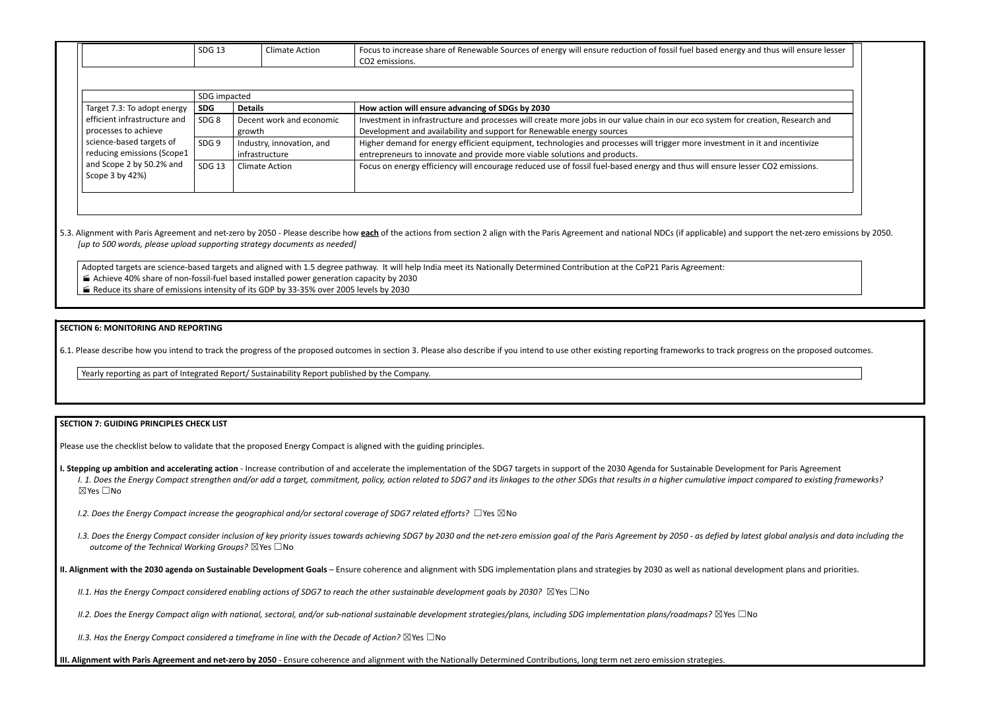|  | SDG <sub>13</sub> | Climate Action | Focus to increase share of Renewable Sources of energy will ensure reduction of fossil fuel based energy and thus will ensure lesser<br>CO2 emissions. |
|--|-------------------|----------------|--------------------------------------------------------------------------------------------------------------------------------------------------------|
|  |                   |                |                                                                                                                                                        |
|  | $l$ CDC imported. |                |                                                                                                                                                        |

| <b>JUY IIIIIJALICU</b> |                                             |                  |                           |                                                                                                                                  |
|------------------------|---------------------------------------------|------------------|---------------------------|----------------------------------------------------------------------------------------------------------------------------------|
|                        | Target 7.3: To adopt energy                 | <b>SDG</b>       | <b>Details</b>            | How action will ensure advancing of SDGs by 2030                                                                                 |
|                        | efficient infrastructure and                | SDG <sub>8</sub> | Decent work and economic  | Investment in infrastructure and processes will create more jobs in our value chain in our eco system for creation, Research and |
|                        | processes to achieve                        |                  | growth                    | Development and availability and support for Renewable energy sources                                                            |
|                        | science-based targets of                    | SDG <sub>9</sub> | Industry, innovation, and | Higher demand for energy efficient equipment, technologies and processes will trigger more investment in it and incentivize      |
|                        | reducing emissions (Scope1                  |                  | infrastructure            | entrepreneurs to innovate and provide more viable solutions and products.                                                        |
|                        | and Scope 2 by 50.2% and<br>Scope 3 by 42%) | SDG 13           | <b>Climate Action</b>     | Focus on energy efficiency will encourage reduced use of fossil fuel-based energy and thus will ensure lesser CO2 emissions.     |
|                        |                                             |                  |                           |                                                                                                                                  |

## 5.3. Alignment with Paris Agreement and net-zero by 2050 - Please describe how each of the actions from section 2 align with the Paris Agreement and national NDCs (if applicable) and su *[up to 500 words, please upload supporting strategy documents as needed]*

I. Stepping up ambition and accelerating action - Increase contribution of and accelerate the implementation of the SDG7 targets in support of the 2030 Agenda for Sustainable Developn I. 1. Does the Energy Compact strengthen and/or add a target, commitment, policy, action related to SDG7 and its linkages to the other SDGs that results in a higher cumulative impac ☒Yes ☐No

Adopted targets are science-based targets and aligned with 1.5 degree pathway. It will help India meet its Nationally Determined Contribution at the CoP21 Paris Agreement: Achieve 40% share of non-fossil-fuel based installed power generation capacity by 2030

1.3. Does the Energy Compact consider inclusion of key priority issues towards achieving SDG7 by 2030 and the net-zero emission goal of the Paris Agreement by 2050 - as defied by lat *outcome of the Technical Working Groups?* ☒Yes ☐No

II. Alignment with the 2030 agenda on Sustainable Development Goals - Ensure coherence and alignment with SDG implementation plans and strategies by 2030 as well as national deve

II.1. Has the Energy Compact considered enabling actions of SDG7 to reach the other sustainable development goals by 2030?  $\boxtimes$  Yes  $\Box$  No

II.2. Does the Energy Compact align with national, sectoral, and/or sub-national sustainable development strategies/plans, including SDG implementation plans/roadmaps?  $\boxtimes$  Yes  $\Box$ N

Reduce its share of emissions intensity of its GDP by 33-35% over 2005 levels by 2030

## **SECTION 6: MONITORING AND REPORTING**

6.1. Please describe how you intend to track the progress of the proposed outcomes in section 3. Please also describe if you intend to use other existing reporting frameworks to track progress of the proposed outcomes in s

Yearly reporting as part of Integrated Report/ Sustainability Report published by the Company.

## **SECTION 7: GUIDING PRINCIPLES CHECK LIST**

Please use the checklist below to validate that the proposed Energy Compact is aligned with the guiding principles.

*I.2. Does the Energy Compact increase the geographical and/or sectoral coverage of SDG7 related efforts?* ☐Yes ☒No

*II.3. Has the Energy Compact considered a timeframe in line with the Decade of Action?* ☒Yes ☐No

III. Alignment with Paris Agreement and net-zero by 2050 - Ensure coherence and alignment with the Nationally Determined Contributions, long term net zero emission strategies.

| and thus will ensure lesser                                    |
|----------------------------------------------------------------|
|                                                                |
|                                                                |
| creation, Research and                                         |
| in it and incentivize                                          |
| ser CO2 emissions.                                             |
|                                                                |
|                                                                |
| upport the net-zero emissions by 2050.                         |
|                                                                |
|                                                                |
|                                                                |
| gress on the proposed outcomes.                                |
|                                                                |
|                                                                |
|                                                                |
|                                                                |
| nent for Paris Agreement<br>t compared to existing frameworks? |
| test global analysis and data including the                    |
| elopment plans and priorities.                                 |
| N٥                                                             |
|                                                                |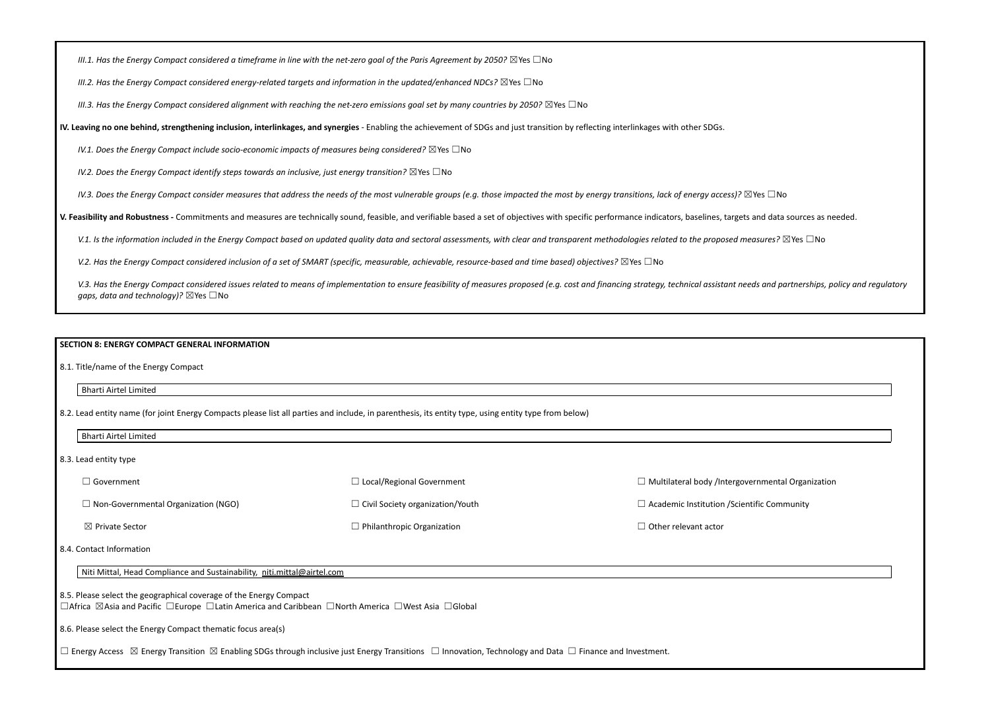III.1. Has the Energy Compact considered a timeframe in line with the net-zero goal of the Paris Agreement by 2050?  $\boxtimes$  Yes  $\Box$  No

*III.2. Has the Energy Compact considered energy-related targets and information in the updated/enhanced NDCs?* ☒Yes ☐No

III.3. Has the Energy Compact considered alignment with reaching the net-zero emissions goal set by many countries by 2050?  $\boxtimes$  Yes  $\Box$  No

IV. Leaving no one behind, strengthening inclusion, interlinkages, and synergies - Enabling the achievement of SDGs and just transition by reflecting interlinkages with other SDGs.

*IV.1. Does the Energy Compact include socio-economic impacts of measures being considered?* ☒Yes ☐No

*IV.2. Does the Energy Compact identify steps towards an inclusive, just energy transition?* ☒Yes ☐No

IV.3. Does the Energy Compact consider measures that address the needs of the most vulnerable groups (e.g. those impacted the most by energy transitions, lack of energy access)?  $\boxtimes$  Yes  $\Box$  No

V. Feasibility and Robustness - Commitments and measures are technically sound, feasible, and verifiable based a set of objectives with specific performance indicators, baselines, targets and data sources as needed.

V.1. Is the information included in the Energy Compact based on updated quality data and sectoral assessments, with clear and transparent methodologies related to the proposed measures?  $\boxtimes$  Yes  $\Box$  No

V.2. Has the Energy Compact considered inclusion of a set of SMART (specific, measurable, achievable, resource-based and time based) objectives?  $\boxtimes$  Yes  $\Box$  No

V.3. Has the Energy Compact considered issues related to means of implementation to ensure feasibility of measures proposed (e.g. cost and financing strategy, technical assistant needs and partnerships, policy and regulato *gaps, data and technology)?* ⊠Yes □No

| ⊿ Government                               | $\Box$ Local/Regional Government        | $\Box$ Multilateral body /Intergove |
|--------------------------------------------|-----------------------------------------|-------------------------------------|
| $\Box$ Non-Governmental Organization (NGO) | $\Box$ Civil Society organization/Youth | $\Box$ Academic Institution /Scien  |
| $\boxtimes$ Private Sector                 | $\Box$ Philanthropic Organization       | $\Box$ Other relevant actor         |

### **SECTION 8: ENERGY COMPACT GENERAL INFORMATION**

8.1. Title/name of the Energy Compact

#### Bharti Airtel Limited

8.2. Lead entity name (for joint Energy Compacts please list all parties and include, in parenthesis, its entity type, using entity type from below)

Bharti Airtel Limited

8.3. Lead entity type

#### 8.4. Contact Information

Niti Mittal, Head Compliance and Sustainability, [niti.mittal@airtel.com](mailto:niti.mittal@airtel.com)

8.5. Please select the geographical coverage of the Energy Compact

☐Africa ☒Asia and Pacific ☐Europe ☐Latin America and Caribbean ☐North America ☐West Asia ☐Global

8.6. Please select the Energy Compact thematic focus area(s)

☐ Energy Access ☒ Energy Transition ☒ Enabling SDGs through inclusive just Energy Transitions ☐ Innovation, Technology and Data ☐ Finance and Investment.

ernmental Organization

ntific Community